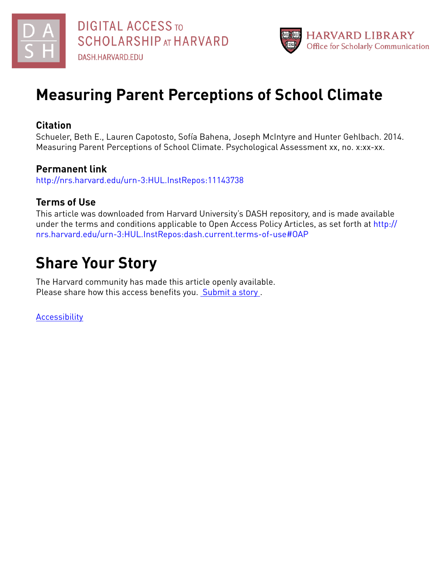



# **Measuring Parent Perceptions of School Climate**

# **Citation**

Schueler, Beth E., Lauren Capotosto, Sofía Bahena, Joseph McIntyre and Hunter Gehlbach. 2014. Measuring Parent Perceptions of School Climate. Psychological Assessment xx, no. x:xx-xx.

# **Permanent link**

<http://nrs.harvard.edu/urn-3:HUL.InstRepos:11143738>

# **Terms of Use**

This article was downloaded from Harvard University's DASH repository, and is made available under the terms and conditions applicable to Open Access Policy Articles, as set forth at [http://](http://nrs.harvard.edu/urn-3:HUL.InstRepos:dash.current.terms-of-use#OAP) [nrs.harvard.edu/urn-3:HUL.InstRepos:dash.current.terms-of-use#OAP](http://nrs.harvard.edu/urn-3:HUL.InstRepos:dash.current.terms-of-use#OAP)

# **Share Your Story**

The Harvard community has made this article openly available. Please share how this access benefits you. [Submit](http://osc.hul.harvard.edu/dash/open-access-feedback?handle=&title=Measuring%20Parent%20Perceptions%20of%20School%20Climate&community=1/3345927&collection=1/3345928&owningCollection1/3345928&harvardAuthors=cd3ff6855580b65e19fa8e5aa3c9547e&department) a story .

**[Accessibility](https://dash.harvard.edu/pages/accessibility)**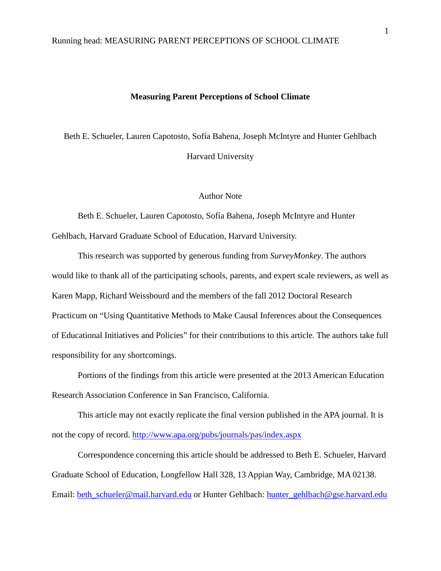## **Measuring Parent Perceptions of School Climate**

Beth E. Schueler, Lauren Capotosto, Sofía Bahena, Joseph McIntyre and Hunter Gehlbach Harvard University

#### Author Note

Beth E. Schueler, Lauren Capotosto, Sofía Bahena, Joseph McIntyre and Hunter Gehlbach, Harvard Graduate School of Education, Harvard University.

This research was supported by generous funding from *SurveyMonkey*. The authors would like to thank all of the participating schools, parents, and expert scale reviewers, as well as Karen Mapp, Richard Weissbourd and the members of the fall 2012 Doctoral Research Practicum on "Using Quantitative Methods to Make Causal Inferences about the Consequences of Educational Initiatives and Policies" for their contributions to this article. The authors take full responsibility for any shortcomings.

Portions of the findings from this article were presented at the 2013 American Education Research Association Conference in San Francisco, California.

This article may not exactly replicate the final version published in the APA journal. It is not the copy of record. <http://www.apa.org/pubs/journals/pas/index.aspx>

<span id="page-1-0"></span>Correspondence concerning this article should be addressed to Beth E. Schueler, Harvard Graduate School of Education, Longfellow Hall 328, 13 Appian Way, Cambridge, MA 02138. Email: [beth\\_schueler@mail.harvard.edu](mailto:beth_schueler@mail.harvard.edu) or Hunter Gehlbach: [hunter\\_gehlbach@gse.harvard.edu](mailto:hunter_gehlbach@gse.harvard.edu)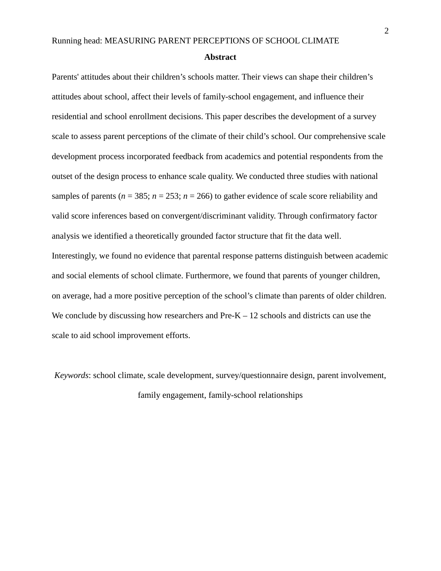#### **Abstract**

Parents' attitudes about their children's schools matter. Their views can shape their children's attitudes about school, affect their levels of family-school engagement, and influence their residential and school enrollment decisions. This paper describes the development of a survey scale to assess parent perceptions of the climate of their child's school. Our comprehensive scale development process incorporated feedback from academics and potential respondents from the outset of the design process to enhance scale quality. We conducted three studies with national samples of parents ( $n = 385$ ;  $n = 253$ ;  $n = 266$ ) to gather evidence of scale score reliability and valid score inferences based on convergent/discriminant validity. Through confirmatory factor analysis we identified a theoretically grounded factor structure that fit the data well. Interestingly, we found no evidence that parental response patterns distinguish between academic and social elements of school climate. Furthermore, we found that parents of younger children, on average, had a more positive perception of the school's climate than parents of older children. We conclude by discussing how researchers and  $Pre-K - 12$  schools and districts can use the scale to aid school improvement efforts.

*Keywords*: school climate, scale development, survey/questionnaire design, parent involvement, family engagement, family-school relationships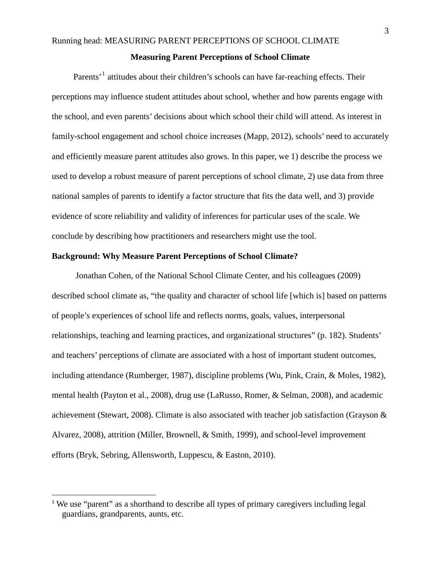#### **Measuring Parent Perceptions of School Climate**

Parents'<sup>[1](#page-1-0)</sup> attitudes about their children's schools can have far-reaching effects. Their perceptions may influence student attitudes about school, whether and how parents engage with the school, and even parents' decisions about which school their child will attend. As interest in family-school engagement and school choice increases (Mapp, 2012), schools' need to accurately and efficiently measure parent attitudes also grows. In this paper, we 1) describe the process we used to develop a robust measure of parent perceptions of school climate, 2) use data from three national samples of parents to identify a factor structure that fits the data well, and 3) provide evidence of score reliability and validity of inferences for particular uses of the scale. We conclude by describing how practitioners and researchers might use the tool.

## **Background: Why Measure Parent Perceptions of School Climate?**

 Jonathan Cohen, of the National School Climate Center, and his colleagues (2009) described school climate as, "the quality and character of school life [which is] based on patterns of people's experiences of school life and reflects norms, goals, values, interpersonal relationships, teaching and learning practices, and organizational structures" (p. 182). Students' and teachers' perceptions of climate are associated with a host of important student outcomes, including attendance (Rumberger, 1987), discipline problems (Wu, Pink, Crain, & Moles, 1982), mental health (Payton et al., 2008), drug use (LaRusso, Romer, & Selman, 2008), and academic achievement (Stewart, 2008). Climate is also associated with teacher job satisfaction (Grayson & Alvarez, 2008), attrition (Miller, Brownell, & Smith, 1999), and school-level improvement efforts (Bryk, Sebring, Allensworth, Luppescu, & Easton, 2010).

<span id="page-3-0"></span><sup>&</sup>lt;sup>1</sup> We use "parent" as a shorthand to describe all types of primary caregivers including legal guardians, grandparents, aunts, etc.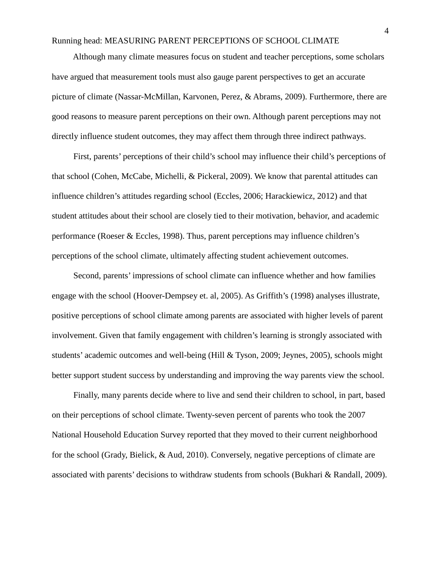## Running head: MEASURING PARENT PERCEPTIONS OF SCHOOL CLIMATE

 Although many climate measures focus on student and teacher perceptions, some scholars have argued that measurement tools must also gauge parent perspectives to get an accurate picture of climate (Nassar-McMillan, Karvonen, Perez, & Abrams, 2009). Furthermore, there are good reasons to measure parent perceptions on their own. Although parent perceptions may not directly influence student outcomes, they may affect them through three indirect pathways.

First, parents' perceptions of their child's school may influence their child's perceptions of that school (Cohen, McCabe, Michelli, & Pickeral, 2009). We know that parental attitudes can influence children's attitudes regarding school (Eccles, 2006; Harackiewicz, 2012) and that student attitudes about their school are closely tied to their motivation, behavior, and academic performance (Roeser & Eccles, 1998). Thus, parent perceptions may influence children's perceptions of the school climate, ultimately affecting student achievement outcomes.

Second, parents' impressions of school climate can influence whether and how families engage with the school (Hoover-Dempsey et. al, 2005). As Griffith's (1998) analyses illustrate, positive perceptions of school climate among parents are associated with higher levels of parent involvement. Given that family engagement with children's learning is strongly associated with students' academic outcomes and well-being (Hill & Tyson, 2009; Jeynes, 2005), schools might better support student success by understanding and improving the way parents view the school.

Finally, many parents decide where to live and send their children to school, in part, based on their perceptions of school climate. Twenty-seven percent of parents who took the 2007 National Household Education Survey reported that they moved to their current neighborhood for the school (Grady, Bielick, & Aud, 2010). Conversely, negative perceptions of climate are associated with parents' decisions to withdraw students from schools (Bukhari & Randall, 2009).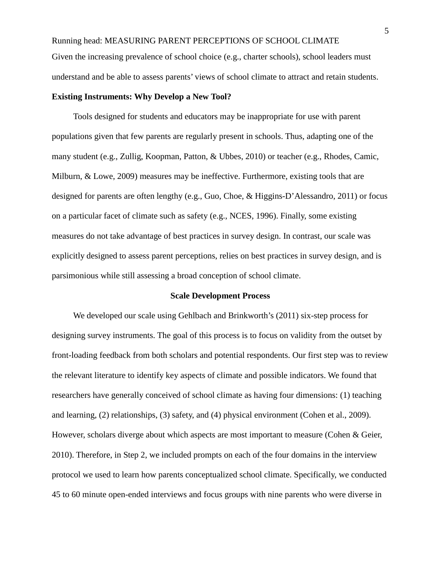Running head: MEASURING PARENT PERCEPTIONS OF SCHOOL CLIMATE Given the increasing prevalence of school choice (e.g., charter schools), school leaders must understand and be able to assess parents' views of school climate to attract and retain students.

## **Existing Instruments: Why Develop a New Tool?**

 Tools designed for students and educators may be inappropriate for use with parent populations given that few parents are regularly present in schools. Thus, adapting one of the many student (e.g., Zullig, Koopman, Patton, & Ubbes, 2010) or teacher (e.g., Rhodes, Camic, Milburn, & Lowe, 2009) measures may be ineffective. Furthermore, existing tools that are designed for parents are often lengthy (e.g., Guo, Choe, & Higgins-D'Alessandro, 2011) or focus on a particular facet of climate such as safety (e.g., NCES, 1996). Finally, some existing measures do not take advantage of best practices in survey design. In contrast, our scale was explicitly designed to assess parent perceptions, relies on best practices in survey design, and is parsimonious while still assessing a broad conception of school climate.

#### **Scale Development Process**

 We developed our scale using Gehlbach and Brinkworth's (2011) six-step process for designing survey instruments. The goal of this process is to focus on validity from the outset by front-loading feedback from both scholars and potential respondents. Our first step was to review the relevant literature to identify key aspects of climate and possible indicators. We found that researchers have generally conceived of school climate as having four dimensions: (1) teaching and learning, (2) relationships, (3) safety, and (4) physical environment (Cohen et al., 2009). However, scholars diverge about which aspects are most important to measure (Cohen & Geier, 2010). Therefore, in Step 2, we included prompts on each of the four domains in the interview protocol we used to learn how parents conceptualized school climate. Specifically, we conducted 45 to 60 minute open-ended interviews and focus groups with nine parents who were diverse in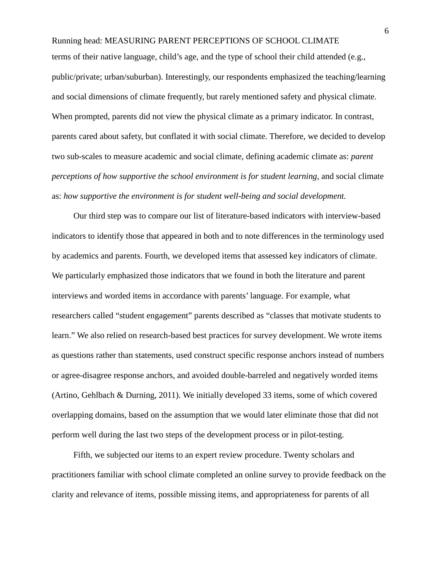Running head: MEASURING PARENT PERCEPTIONS OF SCHOOL CLIMATE terms of their native language, child's age, and the type of school their child attended (e.g., public/private; urban/suburban). Interestingly, our respondents emphasized the teaching/learning and social dimensions of climate frequently, but rarely mentioned safety and physical climate. When prompted, parents did not view the physical climate as a primary indicator. In contrast, parents cared about safety, but conflated it with social climate. Therefore, we decided to develop two sub-scales to measure academic and social climate, defining academic climate as: *parent perceptions of how supportive the school environment is for student learning*, and social climate as: *how supportive the environment is for student well-being and social development.*

 Our third step was to compare our list of literature-based indicators with interview-based indicators to identify those that appeared in both and to note differences in the terminology used by academics and parents. Fourth, we developed items that assessed key indicators of climate. We particularly emphasized those indicators that we found in both the literature and parent interviews and worded items in accordance with parents' language. For example, what researchers called "student engagement" parents described as "classes that motivate students to learn." We also relied on research-based best practices for survey development. We wrote items as questions rather than statements, used construct specific response anchors instead of numbers or agree-disagree response anchors, and avoided double-barreled and negatively worded items (Artino, Gehlbach & Durning, 2011). We initially developed 33 items, some of which covered overlapping domains, based on the assumption that we would later eliminate those that did not perform well during the last two steps of the development process or in pilot-testing.

 Fifth, we subjected our items to an expert review procedure. Twenty scholars and practitioners familiar with school climate completed an online survey to provide feedback on the clarity and relevance of items, possible missing items, and appropriateness for parents of all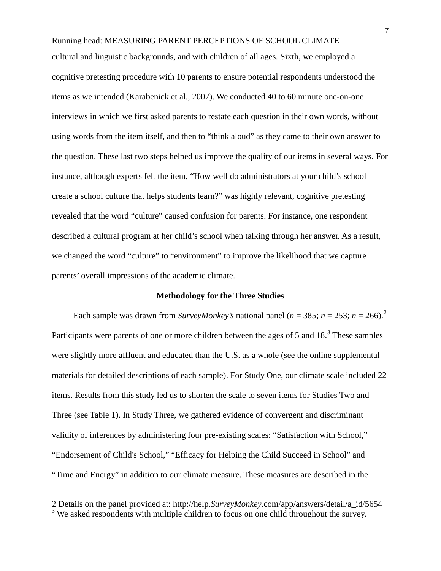Running head: MEASURING PARENT PERCEPTIONS OF SCHOOL CLIMATE cultural and linguistic backgrounds, and with children of all ages. Sixth, we employed a cognitive pretesting procedure with 10 parents to ensure potential respondents understood the items as we intended (Karabenick et al., 2007). We conducted 40 to 60 minute one-on-one interviews in which we first asked parents to restate each question in their own words, without using words from the item itself, and then to "think aloud" as they came to their own answer to the question. These last two steps helped us improve the quality of our items in several ways. For instance, although experts felt the item, "How well do administrators at your child's school create a school culture that helps students learn?" was highly relevant, cognitive pretesting revealed that the word "culture" caused confusion for parents. For instance, one respondent described a cultural program at her child's school when talking through her answer. As a result, we changed the word "culture" to "environment" to improve the likelihood that we capture parents' overall impressions of the academic climate.

#### **Methodology for the Three Studies**

Each sample was drawn from *SurveyMonkey's* national panel ( $n = 385$ ;  $n = 253$  $n = 253$  $n = 253$ ;  $n = 266$ ).<sup>2</sup> Participants were parents of one or more children between the ages of 5 and 18.<sup>[3](#page-7-0)</sup> These samples were slightly more affluent and educated than the U.S. as a whole (see the online supplemental materials for detailed descriptions of each sample). For Study One, our climate scale included 22 items. Results from this study led us to shorten the scale to seven items for Studies Two and Three (see Table 1). In Study Three, we gathered evidence of convergent and discriminant validity of inferences by administering four pre-existing scales: "Satisfaction with School," "Endorsement of Child's School," "Efficacy for Helping the Child Succeed in School" and "Time and Energy" in addition to our climate measure. These measures are described in the

<span id="page-7-1"></span> $\overline{a}$ 

<sup>2</sup> Details on the panel provided at: http://help.*SurveyMonkey*.com/app/answers/detail/a\_id/5654

<span id="page-7-0"></span><sup>&</sup>lt;sup>3</sup> We asked respondents with multiple children to focus on one child throughout the survey.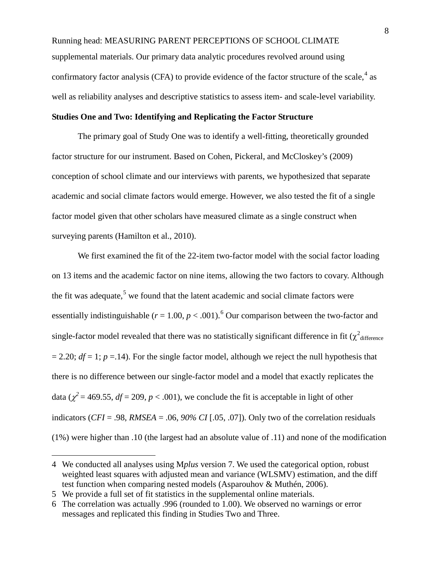Running head: MEASURING PARENT PERCEPTIONS OF SCHOOL CLIMATE supplemental materials. Our primary data analytic procedures revolved around using confirmatory factor analysis (CFA) to provide evidence of the factor structure of the scale,  $4$  as well as reliability analyses and descriptive statistics to assess item- and scale-level variability.

### **Studies One and Two: Identifying and Replicating the Factor Structure**

The primary goal of Study One was to identify a well-fitting, theoretically grounded factor structure for our instrument. Based on Cohen, Pickeral, and McCloskey's (2009) conception of school climate and our interviews with parents, we hypothesized that separate academic and social climate factors would emerge. However, we also tested the fit of a single factor model given that other scholars have measured climate as a single construct when surveying parents (Hamilton et al., 2010).

We first examined the fit of the 22-item two-factor model with the social factor loading on 13 items and the academic factor on nine items, allowing the two factors to covary. Although the fit was adequate,<sup>[5](#page-8-0)</sup> we found that the latent academic and social climate factors were essentially indistinguishable  $(r = 1.00, p < .001)$ .<sup>[6](#page-8-1)</sup> Our comparison between the two-factor and single-factor model revealed that there was no statistically significant difference in fit ( $\chi^2$ <sub>difference</sub>  $= 2.20$ ; *df* = 1; *p* = 14). For the single factor model, although we reject the null hypothesis that there is no difference between our single-factor model and a model that exactly replicates the data ( $\chi^2$  = 469.55, *df* = 209, *p* < .001), we conclude the fit is acceptable in light of other indicators (*CFI* = .98, *RMSEA* = .06, *90% CI* [.05, .07]). Only two of the correlation residuals (1%) were higher than .10 (the largest had an absolute value of .11) and none of the modification

 $\overline{a}$ 

<sup>4</sup> We conducted all analyses using M*plus* version 7. We used the categorical option, robust weighted least squares with adjusted mean and variance (WLSMV) estimation, and the diff test function when comparing nested models (Asparouhov & Muthén, 2006).

<span id="page-8-0"></span><sup>5</sup> We provide a full set of fit statistics in the supplemental online materials.

<span id="page-8-1"></span><sup>6</sup> The correlation was actually .996 (rounded to 1.00). We observed no warnings or error messages and replicated this finding in Studies Two and Three.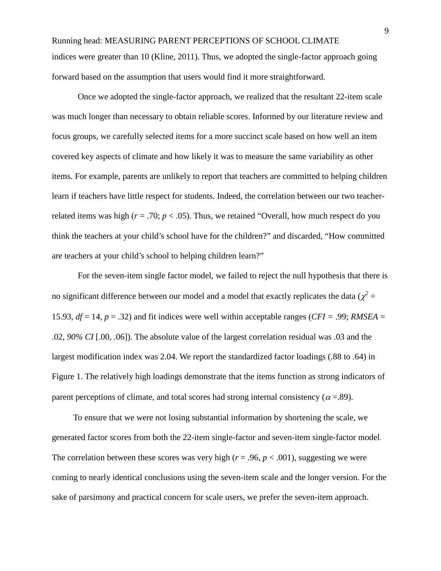Running head: MEASURING PARENT PERCEPTIONS OF SCHOOL CLIMATE indices were greater than 10 (Kline, 2011). Thus, we adopted the single-factor approach going forward based on the assumption that users would find it more straightforward.

Once we adopted the single-factor approach, we realized that the resultant 22-item scale was much longer than necessary to obtain reliable scores. Informed by our literature review and focus groups, we carefully selected items for a more succinct scale based on how well an item covered key aspects of climate and how likely it was to measure the same variability as other items. For example, parents are unlikely to report that teachers are committed to helping children learn if teachers have little respect for students. Indeed, the correlation between our two teacherrelated items was high ( $r = .70$ ;  $p < .05$ ). Thus, we retained "Overall, how much respect do you think the teachers at your child's school have for the children?" and discarded, "How committed are teachers at your child's school to helping children learn?"

For the seven-item single factor model, we failed to reject the null hypothesis that there is no significant difference between our model and a model that exactly replicates the data ( $\chi^2$  = 15.93,  $df = 14$ ,  $p = .32$ ) and fit indices were well within acceptable ranges (*CFI* = .99; *RMSEA* = .02, *90% CI* [.00, .06]). The absolute value of the largest correlation residual was .03 and the largest modification index was 2.04. We report the standardized factor loadings (.88 to .64) in Figure 1. The relatively high loadings demonstrate that the items function as strong indicators of parent perceptions of climate, and total scores had strong internal consistency ( $\alpha$  =.89).

 To ensure that we were not losing substantial information by shortening the scale, we generated factor scores from both the 22-item single-factor and seven-item single-factor model. The correlation between these scores was very high ( $r = .96$ ,  $p < .001$ ), suggesting we were coming to nearly identical conclusions using the seven-item scale and the longer version. For the sake of parsimony and practical concern for scale users, we prefer the seven-item approach.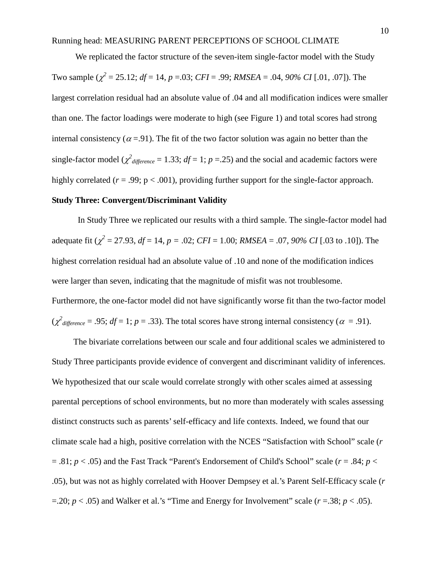We replicated the factor structure of the seven-item single-factor model with the Study Two sample  $(\chi^2 = 25.12; df = 14, p = .03; CFI = .99; RMSEA = .04, 90\% CI [.01, .07]$ ). The largest correlation residual had an absolute value of .04 and all modification indices were smaller than one. The factor loadings were moderate to high (see Figure 1) and total scores had strong internal consistency ( $\alpha$  = 91). The fit of the two factor solution was again no better than the single-factor model ( $\chi^2$ <sub>difference</sub> = 1.33;  $df = 1$ ;  $p = 0.25$ ) and the social and academic factors were highly correlated ( $r = .99$ ;  $p < .001$ ), providing further support for the single-factor approach.

## **Study Three: Convergent/Discriminant Validity**

In Study Three we replicated our results with a third sample. The single-factor model had adequate fit ( $\chi^2 = 27.93$ ,  $df = 14$ ,  $p = .02$ ;  $CFI = 1.00$ ;  $RMSEA = .07$ ,  $90\%$  CI [.03 to .10]). The highest correlation residual had an absolute value of .10 and none of the modification indices were larger than seven, indicating that the magnitude of misfit was not troublesome. Furthermore, the one-factor model did not have significantly worse fit than the two-factor model  $(\chi^2_{difference} = .95; df = 1; p = .33)$ . The total scores have strong internal consistency ( $\alpha = .91$ ).

The bivariate correlations between our scale and four additional scales we administered to Study Three participants provide evidence of convergent and discriminant validity of inferences. We hypothesized that our scale would correlate strongly with other scales aimed at assessing parental perceptions of school environments, but no more than moderately with scales assessing distinct constructs such as parents' self-efficacy and life contexts. Indeed, we found that our climate scale had a high, positive correlation with the NCES "Satisfaction with School" scale (*r*  $= .81$ ;  $p < .05$ ) and the Fast Track "Parent's Endorsement of Child's School" scale ( $r = .84$ ;  $p <$ .05), but was not as highly correlated with Hoover Dempsey et al.'s Parent Self-Efficacy scale (*r*  $=$ .20; *p* < .05) and Walker et al.'s "Time and Energy for Involvement" scale (*r* = .38; *p* < .05).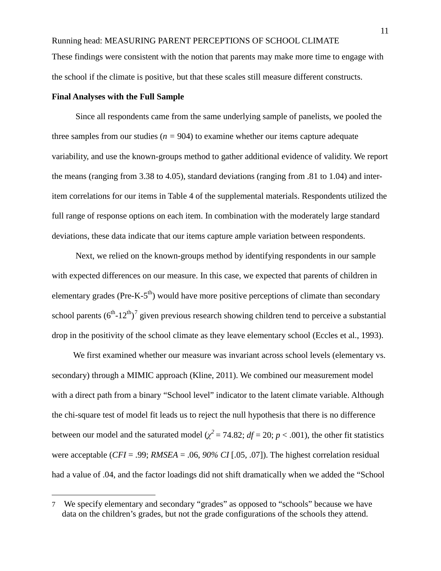Running head: MEASURING PARENT PERCEPTIONS OF SCHOOL CLIMATE These findings were consistent with the notion that parents may make more time to engage with the school if the climate is positive, but that these scales still measure different constructs.

#### **Final Analyses with the Full Sample**

 $\overline{a}$ 

 Since all respondents came from the same underlying sample of panelists, we pooled the three samples from our studies ( $n = 904$ ) to examine whether our items capture adequate variability, and use the known-groups method to gather additional evidence of validity. We report the means (ranging from 3.38 to 4.05), standard deviations (ranging from .81 to 1.04) and interitem correlations for our items in Table 4 of the supplemental materials. Respondents utilized the full range of response options on each item. In combination with the moderately large standard deviations, these data indicate that our items capture ample variation between respondents.

 Next, we relied on the known-groups method by identifying respondents in our sample with expected differences on our measure. In this case, we expected that parents of children in elementary grades (Pre-K- $5<sup>th</sup>$ ) would have more positive perceptions of climate than secondary school parents  $(6^{th} - 12^{th})^7$  $(6^{th} - 12^{th})^7$  given previous research showing children tend to perceive a substantial drop in the positivity of the school climate as they leave elementary school (Eccles et al., 1993).

 We first examined whether our measure was invariant across school levels (elementary vs. secondary) through a MIMIC approach (Kline, 2011). We combined our measurement model with a direct path from a binary "School level" indicator to the latent climate variable. Although the chi-square test of model fit leads us to reject the null hypothesis that there is no difference between our model and the saturated model ( $\chi^2$  = 74.82; *df* = 20; *p* < .001), the other fit statistics were acceptable (*CFI* = .99; *RMSEA* = .06, *90% CI* [.05, .07]). The highest correlation residual had a value of .04, and the factor loadings did not shift dramatically when we added the "School

<sup>7</sup> We specify elementary and secondary "grades" as opposed to "schools" because we have data on the children's grades, but not the grade configurations of the schools they attend.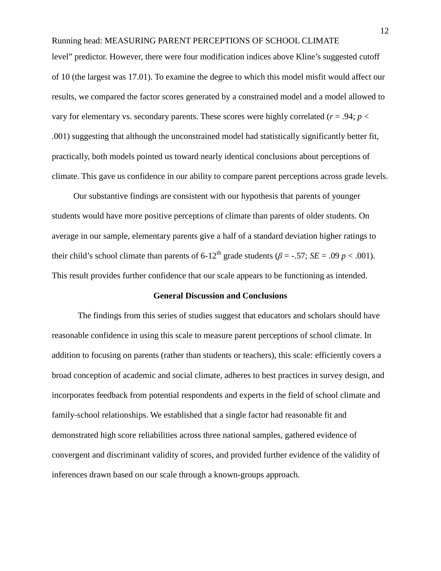Running head: MEASURING PARENT PERCEPTIONS OF SCHOOL CLIMATE level" predictor. However, there were four modification indices above Kline's suggested cutoff of 10 (the largest was 17.01). To examine the degree to which this model misfit would affect our results, we compared the factor scores generated by a constrained model and a model allowed to vary for elementary vs. secondary parents. These scores were highly correlated ( $r = .94$ ;  $p <$ .001) suggesting that although the unconstrained model had statistically significantly better fit, practically, both models pointed us toward nearly identical conclusions about perceptions of climate. This gave us confidence in our ability to compare parent perceptions across grade levels.

 Our substantive findings are consistent with our hypothesis that parents of younger students would have more positive perceptions of climate than parents of older students. On average in our sample, elementary parents give a half of a standard deviation higher ratings to their child's school climate than parents of  $6-12^{th}$  grade students ( $\beta = -0.57$ ; *SE* = .09 *p* < .001). This result provides further confidence that our scale appears to be functioning as intended.

#### **General Discussion and Conclusions**

The findings from this series of studies suggest that educators and scholars should have reasonable confidence in using this scale to measure parent perceptions of school climate. In addition to focusing on parents (rather than students or teachers), this scale: efficiently covers a broad conception of academic and social climate, adheres to best practices in survey design, and incorporates feedback from potential respondents and experts in the field of school climate and family-school relationships. We established that a single factor had reasonable fit and demonstrated high score reliabilities across three national samples, gathered evidence of convergent and discriminant validity of scores, and provided further evidence of the validity of inferences drawn based on our scale through a known-groups approach.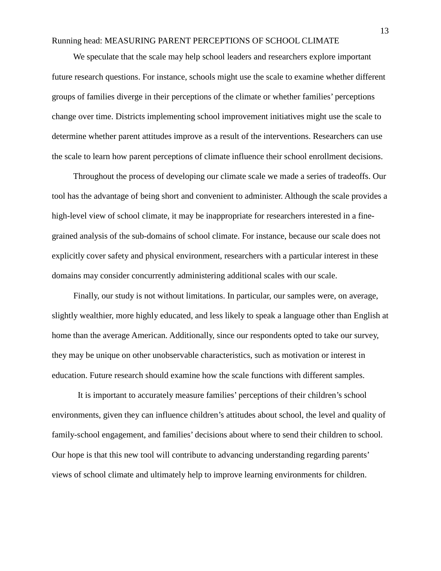## Running head: MEASURING PARENT PERCEPTIONS OF SCHOOL CLIMATE

 We speculate that the scale may help school leaders and researchers explore important future research questions. For instance, schools might use the scale to examine whether different groups of families diverge in their perceptions of the climate or whether families' perceptions change over time. Districts implementing school improvement initiatives might use the scale to determine whether parent attitudes improve as a result of the interventions. Researchers can use the scale to learn how parent perceptions of climate influence their school enrollment decisions.

 Throughout the process of developing our climate scale we made a series of tradeoffs. Our tool has the advantage of being short and convenient to administer. Although the scale provides a high-level view of school climate, it may be inappropriate for researchers interested in a finegrained analysis of the sub-domains of school climate. For instance, because our scale does not explicitly cover safety and physical environment, researchers with a particular interest in these domains may consider concurrently administering additional scales with our scale.

 Finally, our study is not without limitations. In particular, our samples were, on average, slightly wealthier, more highly educated, and less likely to speak a language other than English at home than the average American. Additionally, since our respondents opted to take our survey, they may be unique on other unobservable characteristics, such as motivation or interest in education. Future research should examine how the scale functions with different samples.

It is important to accurately measure families' perceptions of their children's school environments, given they can influence children's attitudes about school, the level and quality of family-school engagement, and families' decisions about where to send their children to school. Our hope is that this new tool will contribute to advancing understanding regarding parents' views of school climate and ultimately help to improve learning environments for children.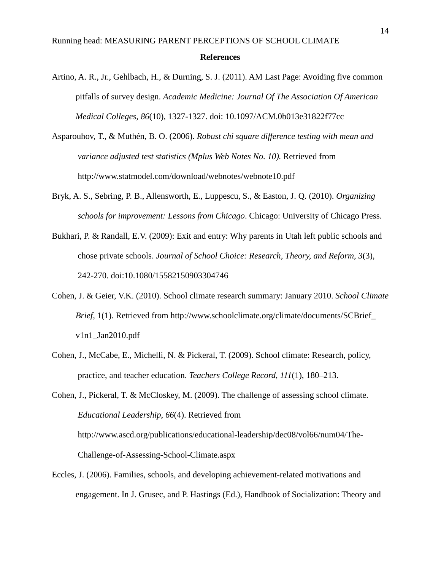# Running head: MEASURING PARENT PERCEPTIONS OF SCHOOL CLIMATE **References**

- Artino, A. R., Jr., Gehlbach, H., & Durning, S. J. (2011). AM Last Page: Avoiding five common pitfalls of survey design. *Academic Medicine: Journal Of The Association Of American Medical Colleges, 86*(10), 1327-1327. doi: 10.1097/ACM.0b013e31822f77cc
- Asparouhov, T., & Muthén, B. O. (2006). *Robust chi square difference testing with mean and variance adjusted test statistics (Mplus Web Notes No. 10).* Retrieved from <http://www.statmodel.com/download/webnotes/webnote10.pdf>
- Bryk, A. S., Sebring, P. B., Allensworth, E., Luppescu, S., & Easton, J. Q. (2010). *Organizing schools for improvement: Lessons from Chicago*. Chicago: University of Chicago Press.
- Bukhari, P. & Randall, E.V. (2009): Exit and entry: Why parents in Utah left public schools and chose private schools. *Journal of School Choice: Research, Theory, and Reform*, *3*(3), 242-270. [doi:10.1080/15582150903304746](javascript:popUpPublisher()
- Cohen, J. & Geier, V.K. (2010). School climate research summary: January 2010. *School Climate Brief*, 1(1). Retrieved from http://www.schoolclimate.org/climate/documents/SCBrief  [v1n1\\_Jan2010.pdf](http://www.schoolclimate.org/climate/documents/SCBrief_%20%20%20%20%20%20%20%20%20%20%20%20%20%20v1n1_Jan2010.pdf)
- Cohen, J., McCabe, E., Michelli, N. & Pickeral, T. (2009). School climate: Research, policy, practice, and teacher education. *Teachers College Record*, *111*(1), 180–213.

Cohen, J., Pickeral, T. & McCloskey, M. (2009). The challenge of assessing school climate. *Educational Leadership*, *66*(4). Retrieved from http://www.ascd.org/publications/educational-leadership/dec08/vol66/num04/The-Challenge-of-Assessing-School-Climate.aspx

Eccles, J. (2006). Families, schools, and developing achievement-related motivations and engagement. In J. Grusec, and P. Hastings (Ed.), Handbook of Socialization: Theory and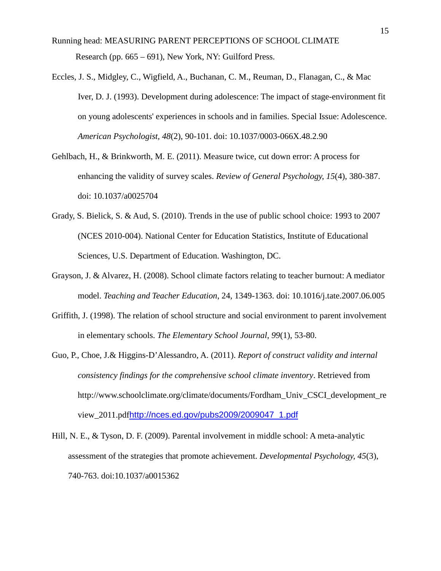- Running head: MEASURING PARENT PERCEPTIONS OF SCHOOL CLIMATE Research (pp. 665 – 691), New York, NY: Guilford Press.
- Eccles, J. S., Midgley, C., Wigfield, A., Buchanan, C. M., Reuman, D., Flanagan, C., & Mac Iver, D. J. (1993). Development during adolescence: The impact of stage-environment fit on young adolescents' experiences in schools and in families. Special Issue: Adolescence. *American Psychologist, 48*(2), 90-101. doi: 10.1037/0003-066X.48.2.90
- Gehlbach, H., & Brinkworth, M. E. (2011). Measure twice, cut down error: A process for enhancing the validity of survey scales. *Review of General Psychology, 15*(4), 380-387. doi: 10.1037/a0025704
- Grady, S. Bielick, S. & Aud, S. (2010). Trends in the use of public school choice: 1993 to 2007 (NCES 2010-004). National Center for Education Statistics, Institute of Educational Sciences, U.S. Department of Education. Washington, DC.
- Grayson, J. & Alvarez, H. (2008). School climate factors relating to teacher burnout: A mediator model. *Teaching and Teacher Education*, 24, 1349-1363. doi: 10.1016/j.tate.2007.06.005
- Griffith, J. (1998). The relation of school structure and social environment to parent involvement in elementary schools. *The Elementary School Journal*, *99*(1), 53-80.
- Guo, P., Choe, J.& Higgins-D'Alessandro, A. (2011). *Report of construct validity and internal consistency findings for the comprehensive school climate inventory*. Retrieved from [http://www.schoolclimate.org/climate/documents/Fordham\\_Univ\\_CSCI\\_development\\_re](http://www.schoolclimate.org/climate/documents/Fordham_Univ_CSCI_development_review_2011.pdf) [view\\_2011.pdf](http://www.schoolclimate.org/climate/documents/Fordham_Univ_CSCI_development_review_2011.pdf)[http://nces.ed.gov/pubs2009/2009047\\_1.pdf](http://nces.ed.gov/pubs2009/2009047_1.pdf)
- Hill, N. E., & Tyson, D. F. (2009). Parental involvement in middle school: A meta-analytic assessment of the strategies that promote achievement. *Developmental Psychology, 45*(3), 740-763. doi:10.1037/a0015362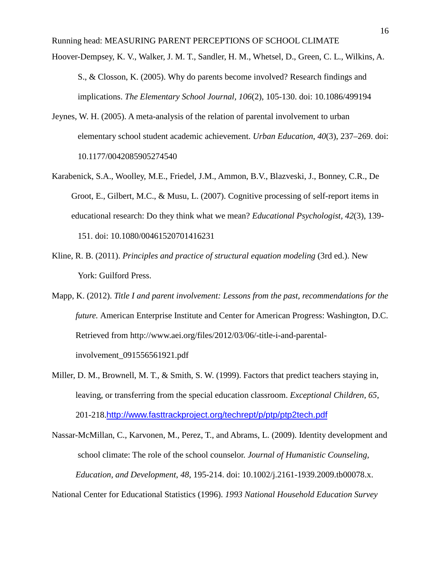Running head: MEASURING PARENT PERCEPTIONS OF SCHOOL CLIMATE

- Hoover-Dempsey, K. V., Walker, J. M. T., Sandler, H. M., Whetsel, D., Green, C. L., Wilkins, A. S., & Closson, K. (2005). Why do parents become involved? Research findings and implications. *The Elementary School Journal, 106*(2), 105-130. doi: 10.1086/499194
- Jeynes, W. H. (2005). A meta-analysis of the relation of parental involvement to urban elementary school student academic achievement. *Urban Education*, *40*(3), 237–269. doi: 10.1177/0042085905274540
- Karabenick, S.A., Woolley, M.E., Friedel, J.M., Ammon, B.V., Blazveski, J., Bonney, C.R., De Groot, E., Gilbert, M.C., & Musu, L. (2007). Cognitive processing of self-report items in educational research: Do they think what we mean? *Educational Psychologist, 42*(3), 139- 151. doi: 10.1080/00461520701416231
- Kline, R. B. (2011). *Principles and practice of structural equation modeling* (3rd ed.). New York: Guilford Press.
- Mapp, K. (2012). *Title I and parent involvement: Lessons from the past, recommendations for the future.* American Enterprise Institute and Center for American Progress: Washington, D.C. Retrieved from http://www.aei.org/files/2012/03/06/-title-i-and-parentalinvolvement\_091556561921.pdf
- Miller, D. M., Brownell, M. T., & Smith, S. W. (1999). Factors that predict teachers staying in, leaving, or transferring from the special education classroom. *Exceptional Children*, *65*, 201-218.<http://www.fasttrackproject.org/techrept/p/ptp/ptp2tech.pdf>

Nassar-McMillan, C., Karvonen, M., Perez, T., and Abrams, L. (2009). Identity development and school climate: The role of the school counselor. *Journal of Humanistic Counseling, Education, and Development*, *48*, 195-214. doi: 10.1002/j.2161-1939.2009.tb00078.x.

National Center for Educational Statistics (1996). *1993 National Household Education Survey*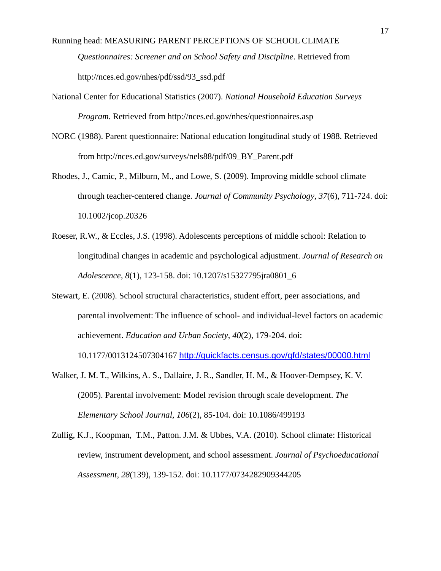Running head: MEASURING PARENT PERCEPTIONS OF SCHOOL CLIMATE  *Questionnaires: Screener and on School Safety and Discipline*. Retrieved from [http://nces.ed.gov/nhes/pdf/ssd/93\\_ssd.pdf](http://nces.ed.gov/nhes/pdf/ssd/93_ssd.pdf)

- National Center for Educational Statistics (2007). *National Household Education Surveys Program*. Retrieved from<http://nces.ed.gov/nhes/questionnaires.asp>
- NORC (1988). Parent questionnaire: National education longitudinal study of 1988. Retrieved from [http://nces.ed.gov/surveys/nels88/pdf/09\\_BY\\_Parent.pdf](http://nces.ed.gov/surveys/nels88/pdf/09_BY_Parent.pdf)
- Rhodes, J., Camic, P., Milburn, M., and Lowe, S. (2009). Improving middle school climate through teacher-centered change. *Journal of Community Psychology*, *37*(6), 711-724. doi: [10.1002/jcop.20326](javascript:popUpPublisher()
- Roeser, R.W., & Eccles, J.S. (1998). Adolescents perceptions of middle school: Relation to longitudinal changes in academic and psychological adjustment. *Journal of Research on Adolescence*, *8*(1), 123-158. doi: 10.1207/s15327795jra0801\_6
- Stewart, E. (2008). School structural characteristics, student effort, peer associations, and parental involvement: The influence of school- and individual-level factors on academic achievement. *Education and Urban Society*, *40*(2), 179-204. doi:

10.1177/0013124507304167 <http://quickfacts.census.gov/qfd/states/00000.html>

- Walker, J. M. T., Wilkins, A. S., Dallaire, J. R., Sandler, H. M., & Hoover-Dempsey, K. V. (2005). Parental involvement: Model revision through scale development. *The Elementary School Journal, 106*(2), 85-104. doi: 10.1086/499193
- Zullig, K.J., Koopman, T.M., Patton. J.M. & Ubbes, V.A. (2010). School climate: Historical review, instrument development, and school assessment. *Journal of Psychoeducational Assessment, 28*(139), 139-152. doi: 10.1177/0734282909344205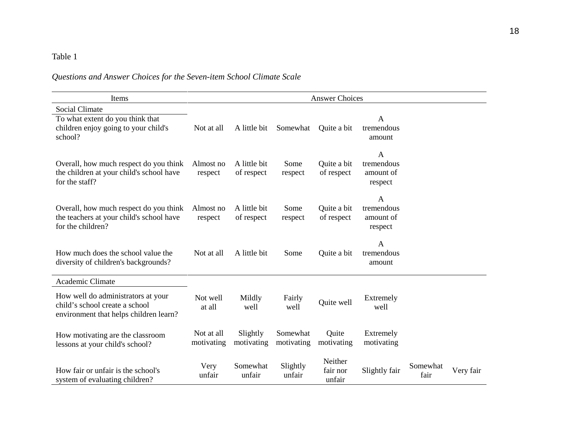# Table 1

# *Questions and Answer Choices for the Seven-item School Climate Scale*

| Items                                                                                                          | <b>Answer Choices</b>    |                            |                        |                               |                                                    |                  |           |
|----------------------------------------------------------------------------------------------------------------|--------------------------|----------------------------|------------------------|-------------------------------|----------------------------------------------------|------------------|-----------|
| <b>Social Climate</b><br>To what extent do you think that<br>children enjoy going to your child's<br>school?   | Not at all               | A little bit               | Somewhat               | Quite a bit                   | A<br>tremendous<br>amount                          |                  |           |
| Overall, how much respect do you think<br>the children at your child's school have<br>for the staff?           | Almost no<br>respect     | A little bit<br>of respect | Some<br>respect        | Quite a bit<br>of respect     | $\mathbf{A}$<br>tremendous<br>amount of<br>respect |                  |           |
| Overall, how much respect do you think<br>the teachers at your child's school have<br>for the children?        | Almost no<br>respect     | A little bit<br>of respect | Some<br>respect        | Quite a bit<br>of respect     | $\mathbf{A}$<br>tremendous<br>amount of<br>respect |                  |           |
| How much does the school value the<br>diversity of children's backgrounds?                                     | Not at all               | A little bit               | Some                   | Quite a bit                   | A<br>tremendous<br>amount                          |                  |           |
| Academic Climate                                                                                               |                          |                            |                        |                               |                                                    |                  |           |
| How well do administrators at your<br>child's school create a school<br>environment that helps children learn? | Not well<br>at all       | Mildly<br>well             | Fairly<br>well         | Quite well                    | Extremely<br>well                                  |                  |           |
| How motivating are the classroom<br>lessons at your child's school?                                            | Not at all<br>motivating | Slightly<br>motivating     | Somewhat<br>motivating | Quite<br>motivating           | Extremely<br>motivating                            |                  |           |
| How fair or unfair is the school's<br>system of evaluating children?                                           | Very<br>unfair           | Somewhat<br>unfair         | Slightly<br>unfair     | Neither<br>fair nor<br>unfair | Slightly fair                                      | Somewhat<br>fair | Very fair |